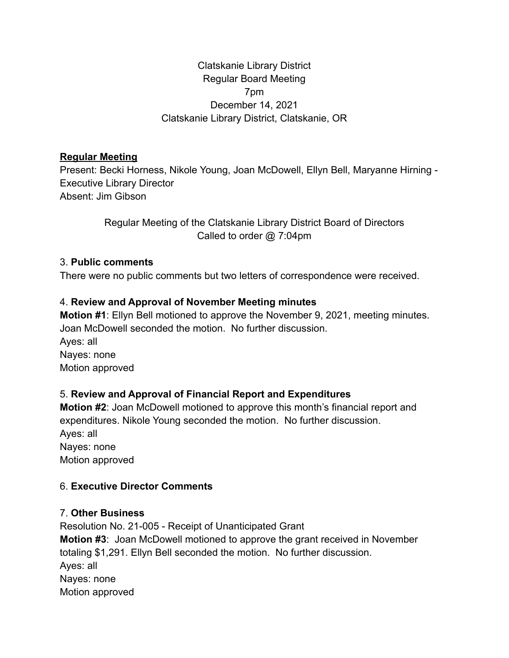## Clatskanie Library District Regular Board Meeting 7pm December 14, 2021 Clatskanie Library District, Clatskanie, OR

#### **Regular Meeting**

Present: Becki Horness, Nikole Young, Joan McDowell, Ellyn Bell, Maryanne Hirning - Executive Library Director Absent: Jim Gibson

> Regular Meeting of the Clatskanie Library District Board of Directors Called to order @ 7:04pm

#### 3. **Public comments**

There were no public comments but two letters of correspondence were received.

#### 4. **Review and Approval of November Meeting minutes**

**Motion #1**: Ellyn Bell motioned to approve the November 9, 2021, meeting minutes. Joan McDowell seconded the motion. No further discussion.

Ayes: all Nayes: none Motion approved

## 5. **Review and Approval of Financial Report and Expenditures**

**Motion #2**: Joan McDowell motioned to approve this month's financial report and expenditures. Nikole Young seconded the motion. No further discussion. Ayes: all Nayes: none Motion approved

## 6. **Executive Director Comments**

## 7. **Other Business**

Resolution No. 21-005 - Receipt of Unanticipated Grant **Motion #3**: Joan McDowell motioned to approve the grant received in November totaling \$1,291. Ellyn Bell seconded the motion. No further discussion. Ayes: all Nayes: none Motion approved